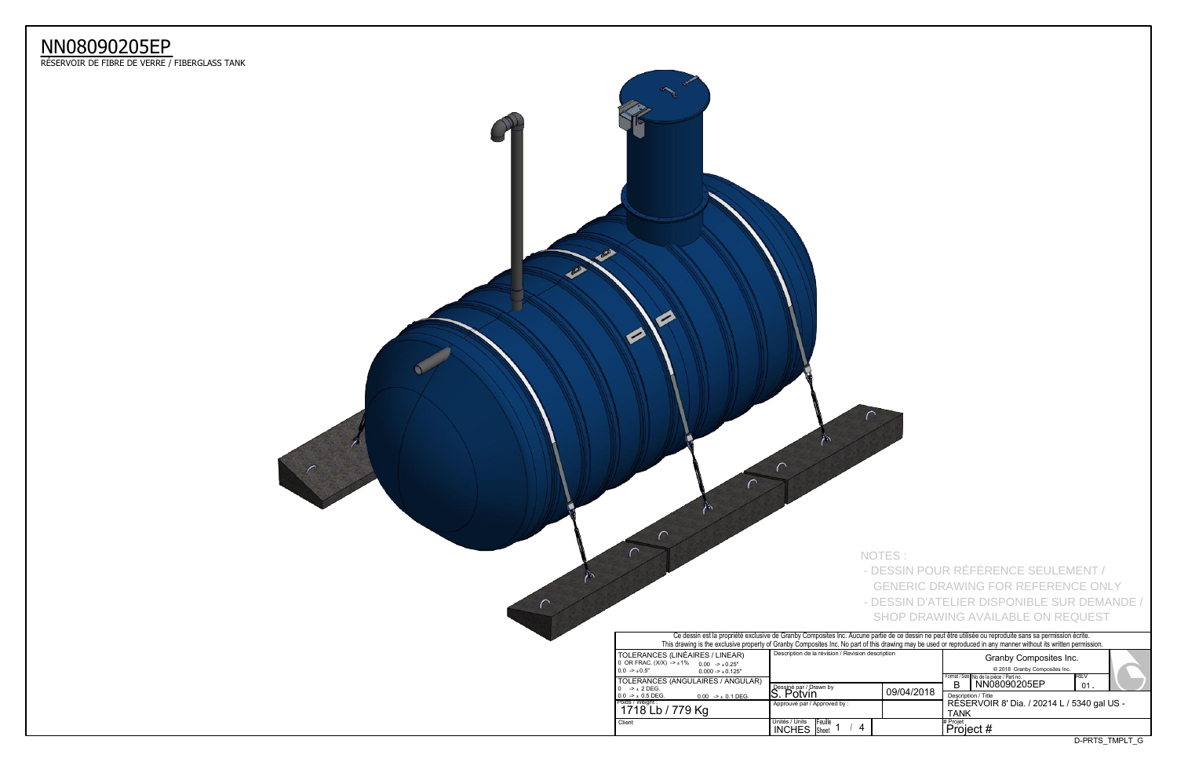| uusu ipuui |                                                     |              |                |  |  |  |  |  |  |
|------------|-----------------------------------------------------|--------------|----------------|--|--|--|--|--|--|
|            | Format / Size No de la pièce / Part no.             |              |                |  |  |  |  |  |  |
|            |                                                     | NN08090205EP | IREV<br>01     |  |  |  |  |  |  |
| 09/04/2018 | Description / Title                                 |              |                |  |  |  |  |  |  |
|            | RÉSERVOIR 8' Dia. / 20214 L / 5340 gal US -<br>TANK |              |                |  |  |  |  |  |  |
|            | # Projet<br>Project #                               |              |                |  |  |  |  |  |  |
|            |                                                     |              | D-PRTS TMPLT G |  |  |  |  |  |  |



## NN08090205EP

ReSERVOIR DE FIBRE DE VERRE / FIBERGLASS TANK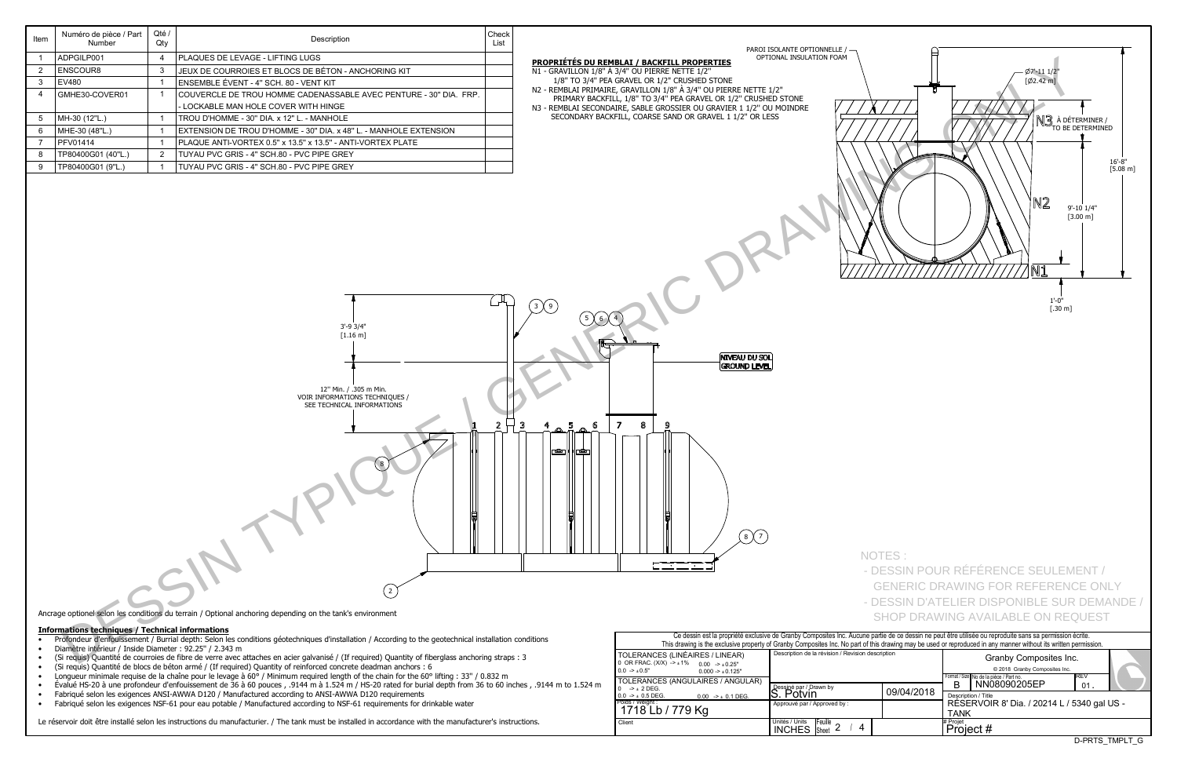|            |  |  |                                             | Format / Size No de la pièce / Part no. | IREV |                |  |  |  |  |  |  |
|------------|--|--|---------------------------------------------|-----------------------------------------|------|----------------|--|--|--|--|--|--|
|            |  |  |                                             | NN08090205EP                            | 01   |                |  |  |  |  |  |  |
| 09/04/2018 |  |  | Description / Title                         |                                         |      |                |  |  |  |  |  |  |
|            |  |  | RESERVOIR 8' Dia. / 20214 L / 5340 gal US - |                                         |      |                |  |  |  |  |  |  |
|            |  |  |                                             | TANK                                    |      |                |  |  |  |  |  |  |
|            |  |  | # Proiet                                    |                                         |      |                |  |  |  |  |  |  |
|            |  |  | Project #                                   |                                         |      |                |  |  |  |  |  |  |
|            |  |  |                                             |                                         |      | D-PRTS TMPLT G |  |  |  |  |  |  |
|            |  |  |                                             |                                         |      |                |  |  |  |  |  |  |

| Ce dessin est la propriété exclusive de Granby Composites Inc. Aucune partie de ce dessin ne peut être u<br>This drawing is the exclusive property of Granby Composites Inc. No part of this drawing may be used or repro |                                                          |            |                     |  |  |  |  |  |  |  |
|---------------------------------------------------------------------------------------------------------------------------------------------------------------------------------------------------------------------------|----------------------------------------------------------|------------|---------------------|--|--|--|--|--|--|--|
| TOLERANCES (LINÉAIRES / LINEAR)<br>0 OR FRAC. $(X/X)$ -> $\pm 1\%$ 0.00 -> $\pm 0.25$ "<br>$0.0 -\geq 0.5$ "<br>$0.000 - 1.000 - 1.000$                                                                                   | Description de la révision / Revision description        |            |                     |  |  |  |  |  |  |  |
| <b>TOLERANCES (ANGULAIRES / ANGULAR)</b><br>$-2 + 2$ DEG.                                                                                                                                                                 | Dessiné par / Drawn by                                   |            |                     |  |  |  |  |  |  |  |
| $0.0$ -> $\pm$ 0.5 DEG.<br>$0.00$ -> $\pm$ 0.1 DEG.                                                                                                                                                                       | S. Potvin                                                | 09/04/2018 | Descr<br><b>RÉS</b> |  |  |  |  |  |  |  |
| Poids / Weight :<br>1718 Lb / 779 Kg                                                                                                                                                                                      | Approuvé par / Approved by:                              |            |                     |  |  |  |  |  |  |  |
| Client                                                                                                                                                                                                                    | Unités / Units<br><b>IFeuille</b><br><b>INCHES</b> Sheet |            | # Projet<br>Pro     |  |  |  |  |  |  |  |

## **Informations techniques / Technical informations**

- Profondeur d'enfouissement / Burrial depth: Selon les conditions géotechniques d'installation / According to the geotechnical installation conditions
- Diamètre intérieur / Inside Diameter : 92.25" / 2.343 m
- (Si requis) Quantitp de courroies de fibre de verre avec attaches en acier galvanisp / (If required) Quantity of fiberglass anchoring straps : 3
- (Si requis) Quantité de blocs de béton armé / (If required) Quantity of reinforced concrete deadman anchors : 6
- Longueur minimale requise de la chaîne pour le levage à 60° / Minimum required length of the chain for the 60° lifting : 33" / 0.832 m
- $\bullet$  Évalué HS-20 à une profondeur d'enfouissement de 36 à 60 pouces , .9144 m à 1.524 m / HS-20 rated for burial depth from 36 to 60 inches , .9144 m to 1.524 m
- Fabriqué selon les exigences ANSI-AWWA D120 / Manufactured according to ANSI-AWWA D120 requirements
- Fabriqué selon les exigences NSF-61 pour eau potable / Manufactured according to NSF-61 requirements for drinkable water

Le réservoir doit être installé selon les instructions du manufacturier. / The tank must be installed in accordance with the manufacturer's instructions.

| Item           | Numéro de pièce / Part<br>Number                        | Qté /<br>Qty   | Description                                                                                                                                           | Check<br>List |                                                                      |                                                                                                          |                                                          |                                                   |                                                                                                                                                           |
|----------------|---------------------------------------------------------|----------------|-------------------------------------------------------------------------------------------------------------------------------------------------------|---------------|----------------------------------------------------------------------|----------------------------------------------------------------------------------------------------------|----------------------------------------------------------|---------------------------------------------------|-----------------------------------------------------------------------------------------------------------------------------------------------------------|
|                | ADPGILP001                                              | $\overline{4}$ | PLAQUES DE LEVAGE - LIFTING LUGS                                                                                                                      |               |                                                                      |                                                                                                          | PAROI ISOLANTE OPTIONNELLE /<br>OPTIONAL INSULATION FOAM |                                                   |                                                                                                                                                           |
|                |                                                         |                |                                                                                                                                                       |               | PROPRIÉTÉS DU REMBLAI / BACKFILL PROPERTIES                          |                                                                                                          |                                                          |                                                   |                                                                                                                                                           |
| $\overline{2}$ | <b>ENSCOUR8</b>                                         | $\mathbf{3}$   | JEUX DE COURROIES ET BLOCS DE BÉTON - ANCHORING KIT                                                                                                   |               | N1 - GRAVILLON 1/8" À 3/4" OU PIERRE NETTE 1/2"                      | 1/8" TO 3/4" PEA GRAVEL OR 1/2" CRUSHED STONE                                                            |                                                          |                                                   | Ø7'-11 1/2"<br>[Ø2.42 m]                                                                                                                                  |
| $\mathbf{3}$   | <b>EV480</b>                                            |                | ENSEMBLE ÉVENT - 4" SCH. 80 - VENT KIT                                                                                                                |               | N2 - REMBLAI PRIMAIRE, GRAVILLON 1/8" À 3/4" OU PIERRE NETTE 1/2"    |                                                                                                          |                                                          |                                                   |                                                                                                                                                           |
|                | GMHE30-COVER01                                          |                | COUVERCLE DE TROU HOMME CADENASSABLE AVEC PENTURE - 30" DIA. FRP.                                                                                     |               |                                                                      | PRIMARY BACKFILL, 1/8" TO 3/4" PEA GRAVEL OR 1/2" CRUSHED STONE                                          |                                                          |                                                   |                                                                                                                                                           |
|                |                                                         |                | - LOCKABLE MAN HOLE COVER WITH HINGE                                                                                                                  |               | N3 - REMBLAI SECONDAIRE, SABLE GROSSIER OU GRAVIER 1 1/2" OU MOINDRE |                                                                                                          |                                                          | A                                                 |                                                                                                                                                           |
| -5             | MH-30 (12"L.)                                           |                | TROU D'HOMME - 30" DIA. x 12" L. - MANHOLE                                                                                                            |               |                                                                      | SECONDARY BACKFILL, COARSE SAND OR GRAVEL 1 1/2" OR LESS                                                 |                                                          |                                                   | N <sub>3</sub> à déter<br>to be de                                                                                                                        |
| -6             | MHE-30 (48"L.)                                          |                | EXTENSION DE TROU D'HOMME - 30" DIA. x 48" L. - MANHOLE EXTENSION                                                                                     |               |                                                                      |                                                                                                          |                                                          |                                                   |                                                                                                                                                           |
|                | <b>PFV01414</b>                                         |                | PLAQUE ANTI-VORTEX 0.5" x 13.5" x 13.5" - ANTI-VORTEX PLATE                                                                                           |               |                                                                      |                                                                                                          |                                                          |                                                   |                                                                                                                                                           |
|                | TP80400G01 (40"L.)                                      | $\overline{2}$ | TUYAU PVC GRIS - 4" SCH.80 - PVC PIPE GREY                                                                                                            |               |                                                                      |                                                                                                          |                                                          |                                                   |                                                                                                                                                           |
| -9             | TP80400G01 (9"L.)                                       |                | TUYAU PVC GRIS - 4" SCH.80 - PVC PIPE GREY                                                                                                            |               |                                                                      |                                                                                                          |                                                          |                                                   | N2<br>$9 - 10$<br>[3.00]                                                                                                                                  |
|                |                                                         |                |                                                                                                                                                       |               | $\left(3\right)$ $\left(9\right)$                                    |                                                                                                          |                                                          |                                                   | /N1<br>$1'-0"$<br>$[.30 \text{ m}]$                                                                                                                       |
|                |                                                         |                | $3' - 93/4"$<br>$[1.16 \;{\rm m}]$<br>12" Min. / .305 m Min.                                                                                          |               |                                                                      |                                                                                                          | <b>NIVEAU DU SOL</b><br><b>GROUND LEVEL</b>              |                                                   |                                                                                                                                                           |
|                |                                                         |                | VOIR INFORMATIONS TECHNIQUES /<br>SEE TECHNICAL INFORMATIONS                                                                                          |               | 5<br>$\overline{I}$<br>6                                             | 8                                                                                                        |                                                          |                                                   |                                                                                                                                                           |
|                |                                                         |                |                                                                                                                                                       |               | الها<br>⊓≏≏ਸ                                                         |                                                                                                          | (s)(7)                                                   |                                                   |                                                                                                                                                           |
|                |                                                         |                | Ancrage optionel selon les conditions du terrain / Optional anchoring depending on the tank's environment                                             |               |                                                                      |                                                                                                          |                                                          | NOTES:                                            | - DESSIN POUR RÉFÉRENCE SEULEME<br><b>GENERIC DRAWING FOR REFERENCE</b><br>- DESSIN D'ATELIER DISPONIBLE SUR I<br><b>SHOP DRAWING AVAILABLE ON REQU</b>   |
|                | <b>Informations techniques / Technical informations</b> |                |                                                                                                                                                       |               |                                                                      |                                                                                                          |                                                          |                                                   | Ce dessin est la propriété exclusive de Granby Composites Inc. Aucune partie de ce dessin ne peut être utilisée ou reproduite sans sa permission écri     |
|                | Diamètre intérieur / Inside Diameter : 92.25" / 2.343 m |                | Profondeur d'enfouissement / Burrial depth: Selon les conditions géotechniques d'installation / According to the geotechnical installation conditions |               |                                                                      |                                                                                                          |                                                          |                                                   | This drawing is the exclusive property of Granby Composites Inc. No part of this drawing may be used or reproduced in any manner without its written perr |
|                |                                                         |                | (Si requis) Quantité de courroies de fibre de verre avec attaches en acier galvanisé / (If required) Quantity of fiberglass anchoring straps : 3      |               |                                                                      | TOLERANCES (LINÉAIRES / LINEAR)<br>$0. \overline{OR}$ FRAC $(X/X)$ $\rightarrow +1\%$ $0.00 \times 0.25$ |                                                          | Description de la révision / Revision description | Granby Composites Inc.                                                                                                                                    |



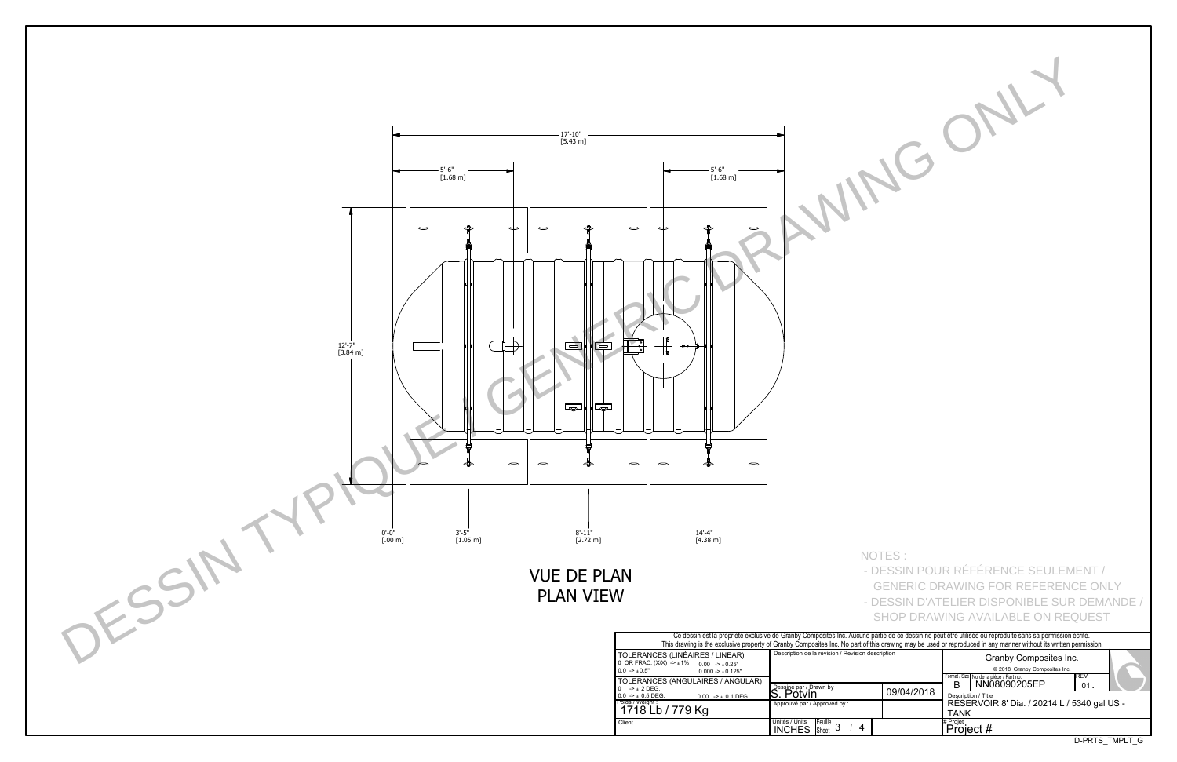| e partie de ce dessin ne peut être utilisée ou reproduite sans sa permission écrite.<br>f this drawing may be used or reproduced in any manner without its written permission. |            |                     |                                             |        |  |  |  |  |  |  |  |
|--------------------------------------------------------------------------------------------------------------------------------------------------------------------------------|------------|---------------------|---------------------------------------------|--------|--|--|--|--|--|--|--|
| description                                                                                                                                                                    |            |                     |                                             |        |  |  |  |  |  |  |  |
|                                                                                                                                                                                |            |                     | Format / Size No de la pièce / Part no.     | IREV   |  |  |  |  |  |  |  |
|                                                                                                                                                                                |            |                     | NN08090205EP                                | $01$ . |  |  |  |  |  |  |  |
|                                                                                                                                                                                |            |                     |                                             |        |  |  |  |  |  |  |  |
|                                                                                                                                                                                | 09/04/2018 | Description / Title |                                             |        |  |  |  |  |  |  |  |
|                                                                                                                                                                                |            |                     | RÉSERVOIR 8' Dia. / 20214 L / 5340 gal US - |        |  |  |  |  |  |  |  |
|                                                                                                                                                                                |            |                     |                                             |        |  |  |  |  |  |  |  |
|                                                                                                                                                                                |            | TANK                |                                             |        |  |  |  |  |  |  |  |
|                                                                                                                                                                                |            | # Projet            |                                             |        |  |  |  |  |  |  |  |
|                                                                                                                                                                                |            | Project #           |                                             |        |  |  |  |  |  |  |  |
| D-PRTS TMPLT G                                                                                                                                                                 |            |                     |                                             |        |  |  |  |  |  |  |  |
|                                                                                                                                                                                |            |                     |                                             |        |  |  |  |  |  |  |  |



NOTES :

- DESSIN POUR RÉFÉRENCE SEULEMENT /
- GENERIC DRAWING FOR REFERENCE ONLY - DESSIN D'ATELIER DISPONIBLE SUR DEMANDE / SHOP DRAWING AVAILABLE ON REQUEST
- 
- 
- 
- 
- 
-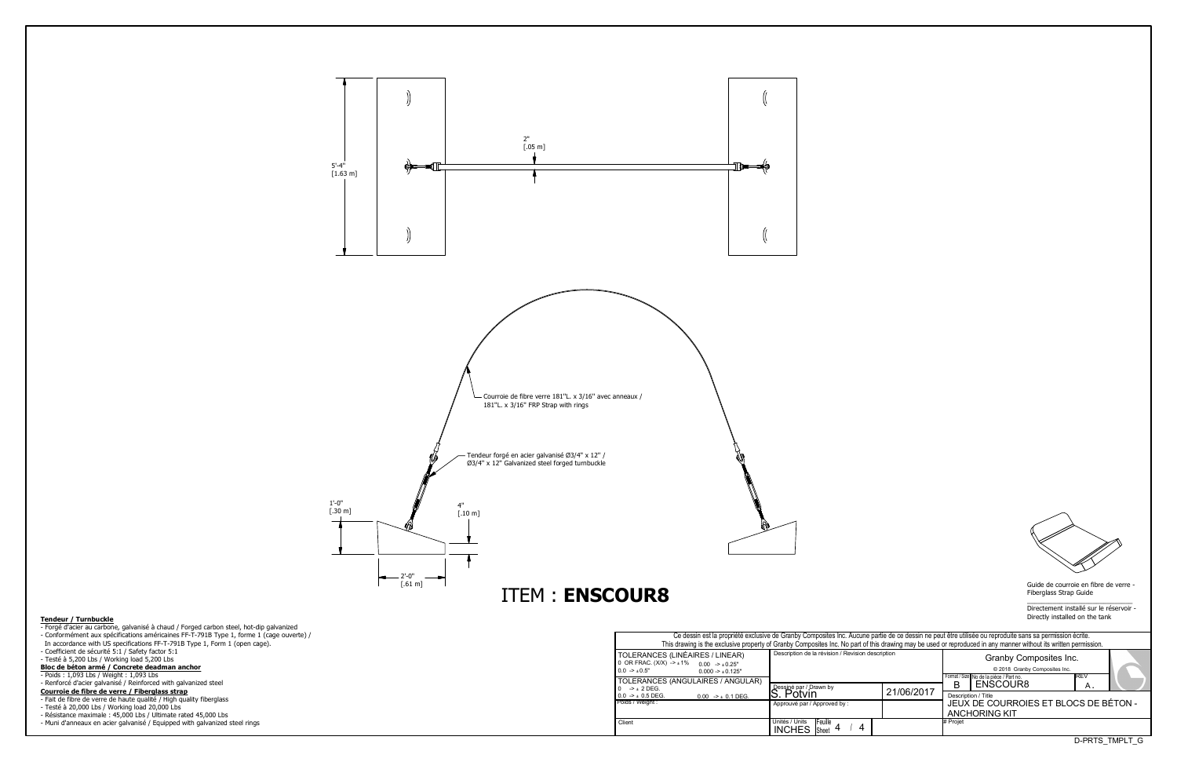Guide de courroie en fibre de verre - Fiberglass Strap Guide

 $\overline{\phantom{a}}$  , and the set of the set of the set of the set of the set of the set of the set of the set of the set of the set of the set of the set of the set of the set of the set of the set of the set of the set of the s Directement installé sur le réservoir -Directly installed on the tank

D-PRTS\_TMPLT\_G

| Ce dessin est la propriété exclusive de Granby Composites Inc. Aucune partie de ce dessin ne peut être utilisée ou reproduite sans sa permission écrite.<br>This drawing is the exclusive property of Granby Composites Inc. No part of this drawing may be used or reproduced in any manner without its written permission. |                                                                       |            |          |                                                                                                    |                |  |  |  |  |  |  |  |  |
|------------------------------------------------------------------------------------------------------------------------------------------------------------------------------------------------------------------------------------------------------------------------------------------------------------------------------|-----------------------------------------------------------------------|------------|----------|----------------------------------------------------------------------------------------------------|----------------|--|--|--|--|--|--|--|--|
| S (LINÉAIRES / LINEAR)<br>$(X)$ -> $\pm$ 1% 0.00 -> $\pm$ 0.25"<br>$0.000 - 1.000 - 1.000$<br>S (ANGULAIRES / ANGULAR)                                                                                                                                                                                                       | Description de la révision / Revision description                     |            |          | Granby Composites Inc.<br>© 2018 Granby Composites Inc.<br>Format / Size No de la pièce / Part no. |                |  |  |  |  |  |  |  |  |
|                                                                                                                                                                                                                                                                                                                              | Dessiné par / Drawn by<br>. Potvin                                    | 21/06/2017 | в        | ENSCOUR8                                                                                           | Α.             |  |  |  |  |  |  |  |  |
| $0.00$ -> $\pm$ 0.1 DEG.                                                                                                                                                                                                                                                                                                     | Approuvé par / Approved by:                                           |            |          | Description / Title<br>JEUX DE COURROIES ET BLOCS DE BÉTON -<br><b>ANCHORING KIT</b>               |                |  |  |  |  |  |  |  |  |
|                                                                                                                                                                                                                                                                                                                              | Unités / Units<br><b>IFeuille</b><br>$\cdot$ Sheet 4<br><b>INCHES</b> |            | # Projet |                                                                                                    |                |  |  |  |  |  |  |  |  |
|                                                                                                                                                                                                                                                                                                                              |                                                                       |            |          |                                                                                                    | D-PRTS TMPLT G |  |  |  |  |  |  |  |  |



- Forgé d'acier au carbone, galvanisé à chaud / Forged carbon steel, hot-dip galvanized - Conformément aux spécifications américaines FF-T-791B Type 1, forme 1 (cage ouverte) / In accordance with US specifications FF-T-791B Type 1, Form 1 (open cage). - Coefficient de sécurité 5:1 / Safety factor 5:1 - Testé à 5,200 Lbs / Working load 5,200 Lbs
- **Bloc de bpton armp / Concrete deadman anchor**
- Poids : 1,093 Lbs / Weight : 1,093 Lbs

- Renforcé d'acier galvanisé / Reinforced with galvanized steel

- **Courroie de fibre de verre / Fiberglass strap**
- Fait de fibre de verre de haute qualité / High quality fiberglass
- Testé à 20,000 Lbs / Working load 20,000 Lbs
- Résistance maximale : 45,000 Lbs / Ultimate rated 45,000 Lbs
- Muni d'anneaux en acier galvanisé / Equipped with galvanized steel rings

Approuvé par / Approved by : INCHES Sheet 4 / 4 Description de la révision / Revision Poids / Weight : Client **Example 1** Units / Units | Units | Equille 4 | 4 | 4 | 4 | + Projet Dessiné par / Drawn by<br>S. Potvin TOLERANCES (LINÉAIRES / LINEAR) 0 OR FRAC. (X/X) -> ±1% 0.00 -> ±0.25"  $0.0 \rightarrow \pm 0.5"$  $0.000 - 10.125$ " TOLERANCES (ANGULAIRES / ANGULAR) 0  $->$   $\pm$  2 DEG.  $0.00$  ->  $\pm$  0.1 DEG.

## **Tendeur / Turnbuckle**